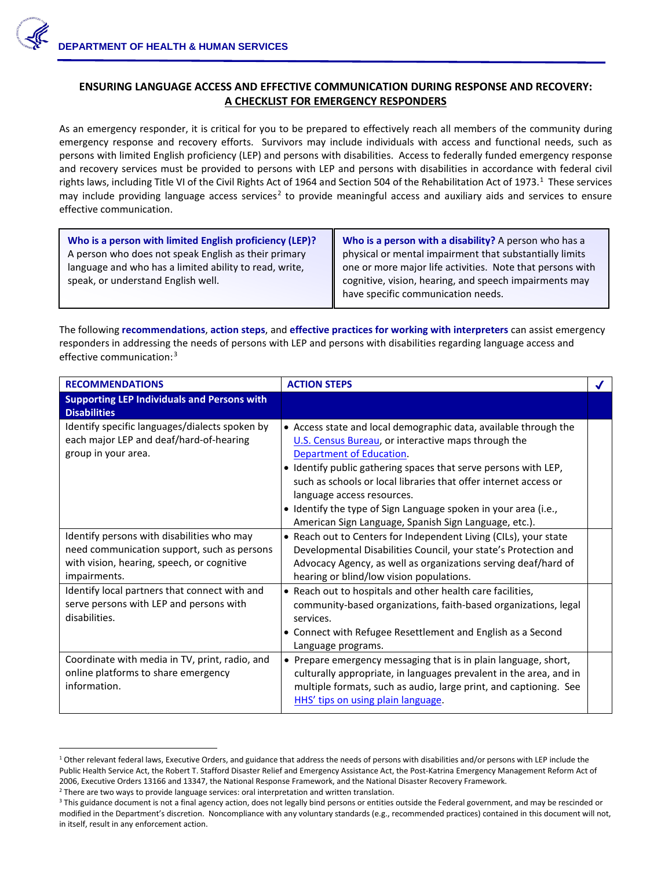## **ENSURING LANGUAGE ACCESS AND EFFECTIVE COMMUNICATION DURING RESPONSE AND RECOVERY: A CHECKLIST FOR EMERGENCY RESPONDERS**

As an emergency responder, it is critical for you to be prepared to effectively reach all members of the community during emergency response and recovery efforts. Survivors may include individuals with access and functional needs, such as persons with limited English proficiency (LEP) and persons with disabilities. Access to federally funded emergency response and recovery services must be provided to persons with LEP and persons with disabilities in accordance with federal civil rights laws, including Title VI of the Civil Rights Act of [1](#page-0-0)964 and Section 504 of the Rehabilitation Act of 1973.<sup>1</sup> These services may include providing language access services<sup>[2](#page-0-1)</sup> to provide meaningful access and auxiliary aids and services to ensure effective communication.

| Who is a person with limited English proficiency (LEP)? | Who is a person with a disability? A person who has a     |
|---------------------------------------------------------|-----------------------------------------------------------|
| A person who does not speak English as their primary    | physical or mental impairment that substantially limits   |
| language and who has a limited ability to read, write,  | one or more major life activities. Note that persons with |
| speak, or understand English well.                      | cognitive, vision, hearing, and speech impairments may    |
|                                                         | have specific communication needs.                        |

The following **recommendations**, **action steps**, and **effective practices for working with interpreters** can assist emergency responders in addressing the needs of persons with LEP and persons with disabilities regarding language access and effective communication: [3](#page-0-2)

| <b>RECOMMENDATIONS</b>                                                                                                                                  | <b>ACTION STEPS</b>                                                                                                                                                                                                                                                                                                                                                                                                                                  |  |
|---------------------------------------------------------------------------------------------------------------------------------------------------------|------------------------------------------------------------------------------------------------------------------------------------------------------------------------------------------------------------------------------------------------------------------------------------------------------------------------------------------------------------------------------------------------------------------------------------------------------|--|
| <b>Supporting LEP Individuals and Persons with</b><br><b>Disabilities</b>                                                                               |                                                                                                                                                                                                                                                                                                                                                                                                                                                      |  |
| Identify specific languages/dialects spoken by<br>each major LEP and deaf/hard-of-hearing<br>group in your area.                                        | • Access state and local demographic data, available through the<br>U.S. Census Bureau, or interactive maps through the<br>Department of Education.<br>• Identify public gathering spaces that serve persons with LEP,<br>such as schools or local libraries that offer internet access or<br>language access resources.<br>• Identify the type of Sign Language spoken in your area (i.e.,<br>American Sign Language, Spanish Sign Language, etc.). |  |
| Identify persons with disabilities who may<br>need communication support, such as persons<br>with vision, hearing, speech, or cognitive<br>impairments. | • Reach out to Centers for Independent Living (CILs), your state<br>Developmental Disabilities Council, your state's Protection and<br>Advocacy Agency, as well as organizations serving deaf/hard of<br>hearing or blind/low vision populations.                                                                                                                                                                                                    |  |
| Identify local partners that connect with and<br>serve persons with LEP and persons with<br>disabilities.                                               | • Reach out to hospitals and other health care facilities,<br>community-based organizations, faith-based organizations, legal<br>services.<br>• Connect with Refugee Resettlement and English as a Second<br>Language programs.                                                                                                                                                                                                                      |  |
| Coordinate with media in TV, print, radio, and<br>online platforms to share emergency<br>information.                                                   | • Prepare emergency messaging that is in plain language, short,<br>culturally appropriate, in languages prevalent in the area, and in<br>multiple formats, such as audio, large print, and captioning. See<br>HHS' tips on using plain language.                                                                                                                                                                                                     |  |

<span id="page-0-0"></span><sup>&</sup>lt;sup>1</sup> Other relevant federal laws, Executive Orders, and guidance that address the needs of persons with disabilities and/or persons with LEP include the Public Health Service Act, the Robert T. Stafford Disaster Relief and Emergency Assistance Act, the Post-Katrina Emergency Management Reform Act of 2006, Executive Orders 13166 and 13347, the National Response Framework, and the National Disaster Recovery Framework.<br><sup>2</sup> There are two ways to provide language services: oral interpretation and written translation.<br><sup>3</sup> T

 $\overline{a}$ 

<span id="page-0-1"></span>

<span id="page-0-2"></span>modified in the Department's discretion. Noncompliance with any voluntary standards (e.g., recommended practices) contained in this document will not, in itself, result in any enforcement action.